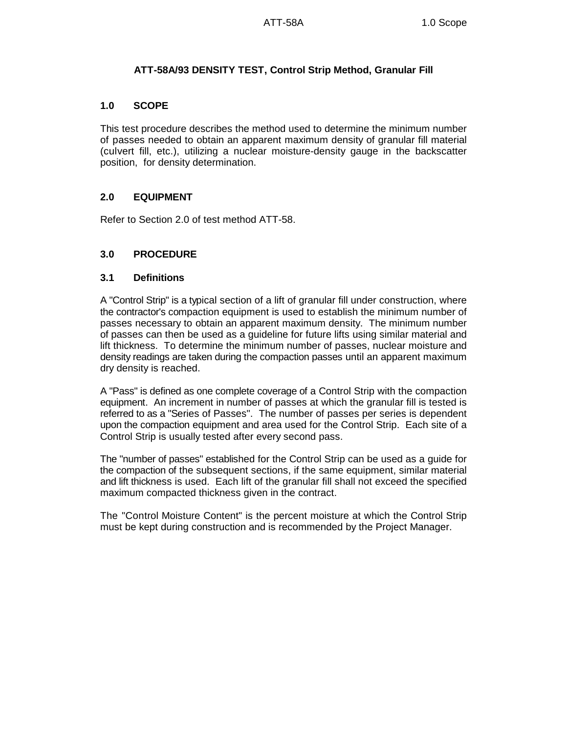## **ATT-58A/93 DENSITY TEST, Control Strip Method, Granular Fill**

#### **1.0 SCOPE**

This test procedure describes the method used to determine the minimum number of passes needed to obtain an apparent maximum density of granular fill material (culvert fill, etc.), utilizing a nuclear moisture-density gauge in the backscatter position, for density determination.

## **2.0 EQUIPMENT**

Refer to Section 2.0 of test method ATT-58.

## **3.0 PROCEDURE**

### **3.1 Definitions**

A "Control Strip" is a typical section of a lift of granular fill under construction, where the contractor's compaction equipment is used to establish the minimum number of passes necessary to obtain an apparent maximum density. The minimum number of passes can then be used as a guideline for future lifts using similar material and lift thickness. To determine the minimum number of passes, nuclear moisture and density readings are taken during the compaction passes until an apparent maximum dry density is reached.

A "Pass" is defined as one complete coverage of a Control Strip with the compaction equipment. An increment in number of passes at which the granular fill is tested is referred to as a "Series of Passes". The number of passes per series is dependent upon the compaction equipment and area used for the Control Strip. Each site of a Control Strip is usually tested after every second pass.

The "number of passes" established for the Control Strip can be used as a guide for the compaction of the subsequent sections, if the same equipment, similar material and lift thickness is used. Each lift of the granular fill shall not exceed the specified maximum compacted thickness given in the contract.

The "Control Moisture Content" is the percent moisture at which the Control Strip must be kept during construction and is recommended by the Project Manager.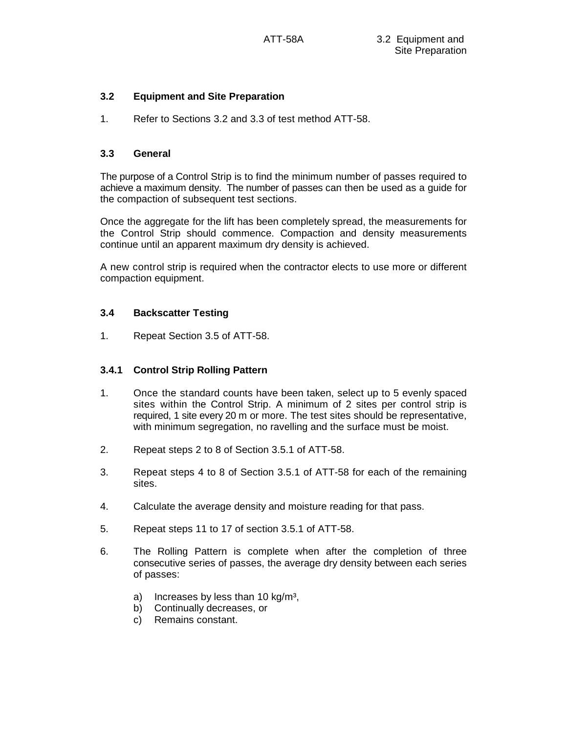## **3.2 Equipment and Site Preparation**

1. Refer to Sections 3.2 and 3.3 of test method ATT-58.

#### **3.3 General**

The purpose of a Control Strip is to find the minimum number of passes required to achieve a maximum density. The number of passes can then be used as a guide for the compaction of subsequent test sections.

Once the aggregate for the lift has been completely spread, the measurements for the Control Strip should commence. Compaction and density measurements continue until an apparent maximum dry density is achieved.

A new control strip is required when the contractor elects to use more or different compaction equipment.

### **3.4 Backscatter Testing**

1. Repeat Section 3.5 of ATT-58.

#### **3.4.1 Control Strip Rolling Pattern**

- 1. Once the standard counts have been taken, select up to 5 evenly spaced sites within the Control Strip. A minimum of 2 sites per control strip is required, 1 site every 20 m or more. The test sites should be representative, with minimum segregation, no ravelling and the surface must be moist.
- 2. Repeat steps 2 to 8 of Section 3.5.1 of ATT-58.
- 3. Repeat steps 4 to 8 of Section 3.5.1 of ATT-58 for each of the remaining sites.
- 4. Calculate the average density and moisture reading for that pass.
- 5. Repeat steps 11 to 17 of section 3.5.1 of ATT-58.
- 6. The Rolling Pattern is complete when after the completion of three consecutive series of passes, the average dry density between each series of passes:
	- a) Increases by less than 10  $kg/m<sup>3</sup>$ ,
	- b) Continually decreases, or
	- c) Remains constant.